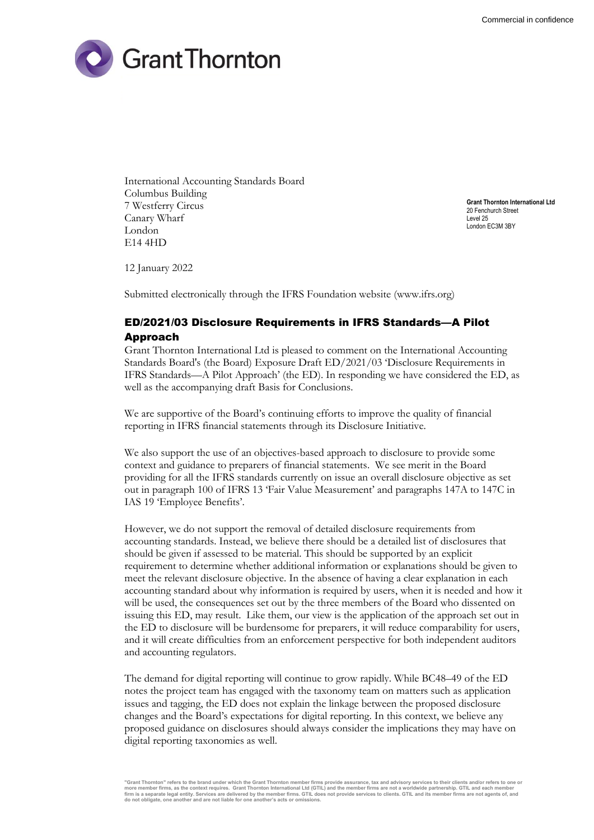

International Accounting Standards Board Columbus Building 7 Westferry Circus Canary Wharf London E14 4HD

**Grant Thornton International Ltd** 20 Fenchurch Street Level 25 London EC3M 3BY

12 January 2022

Submitted electronically through the IFRS Foundation website (www.ifrs.org)

# ED/2021/03 Disclosure Requirements in IFRS Standards—A Pilot Approach

Grant Thornton International Ltd is pleased to comment on the International Accounting Standards Board's (the Board) Exposure Draft ED/2021/03 'Disclosure Requirements in IFRS Standards—A Pilot Approach' (the ED). In responding we have considered the ED, as well as the accompanying draft Basis for Conclusions.

We are supportive of the Board's continuing efforts to improve the quality of financial reporting in IFRS financial statements through its Disclosure Initiative.

We also support the use of an objectives-based approach to disclosure to provide some context and guidance to preparers of financial statements. We see merit in the Board providing for all the IFRS standards currently on issue an overall disclosure objective as set out in paragraph 100 of IFRS 13 'Fair Value Measurement' and paragraphs 147A to 147C in IAS 19 'Employee Benefits'.

However, we do not support the removal of detailed disclosure requirements from accounting standards. Instead, we believe there should be a detailed list of disclosures that should be given if assessed to be material. This should be supported by an explicit requirement to determine whether additional information or explanations should be given to meet the relevant disclosure objective. In the absence of having a clear explanation in each accounting standard about why information is required by users, when it is needed and how it will be used, the consequences set out by the three members of the Board who dissented on issuing this ED, may result. Like them, our view is the application of the approach set out in the ED to disclosure will be burdensome for preparers, it will reduce comparability for users, and it will create difficulties from an enforcement perspective for both independent auditors and accounting regulators.

The demand for digital reporting will continue to grow rapidly. While BC48–49 of the ED notes the project team has engaged with the taxonomy team on matters such as application issues and tagging, the ED does not explain the linkage between the proposed disclosure changes and the Board's expectations for digital reporting. In this context, we believe any proposed guidance on disclosures should always consider the implications they may have on digital reporting taxonomies as well.

<sup>&</sup>quot;Grant Thornton" refers to the brand under which the Grant Thornton member firms provide assurance, tax and advisory services to their clients and/or refers to one or<br>more member firms, as the context requires. Grant Thorn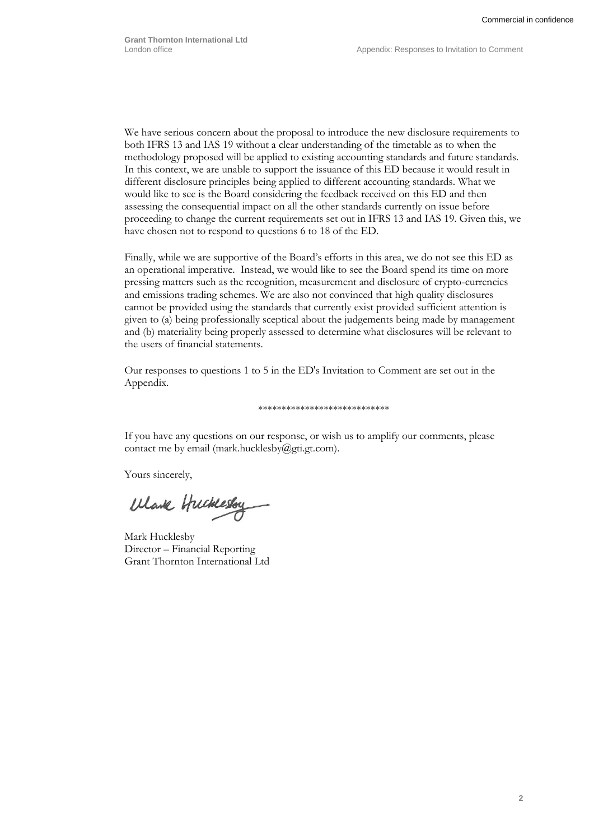We have serious concern about the proposal to introduce the new disclosure requirements to both IFRS 13 and IAS 19 without a clear understanding of the timetable as to when the methodology proposed will be applied to existing accounting standards and future standards. In this context, we are unable to support the issuance of this ED because it would result in different disclosure principles being applied to different accounting standards. What we would like to see is the Board considering the feedback received on this ED and then assessing the consequential impact on all the other standards currently on issue before proceeding to change the current requirements set out in IFRS 13 and IAS 19. Given this, we have chosen not to respond to questions 6 to 18 of the ED.

Finally, while we are supportive of the Board's efforts in this area, we do not see this ED as an operational imperative. Instead, we would like to see the Board spend its time on more pressing matters such as the recognition, measurement and disclosure of crypto-currencies and emissions trading schemes. We are also not convinced that high quality disclosures cannot be provided using the standards that currently exist provided sufficient attention is given to (a) being professionally sceptical about the judgements being made by management and (b) materiality being properly assessed to determine what disclosures will be relevant to the users of financial statements.

Our responses to questions 1 to 5 in the ED's Invitation to Comment are set out in the Appendix.

#### \*\*\*\*\*\*\*\*\*\*\*\*\*\*\*\*\*\*\*\*\*\*\*\*\*\*\*\*

If you have any questions on our response, or wish us to amplify our comments, please contact me by email (mark.hucklesby@gti.gt.com).

Yours sincerely,

Wark Hucklesby

Mark Hucklesby Director – Financial Reporting Grant Thornton International Ltd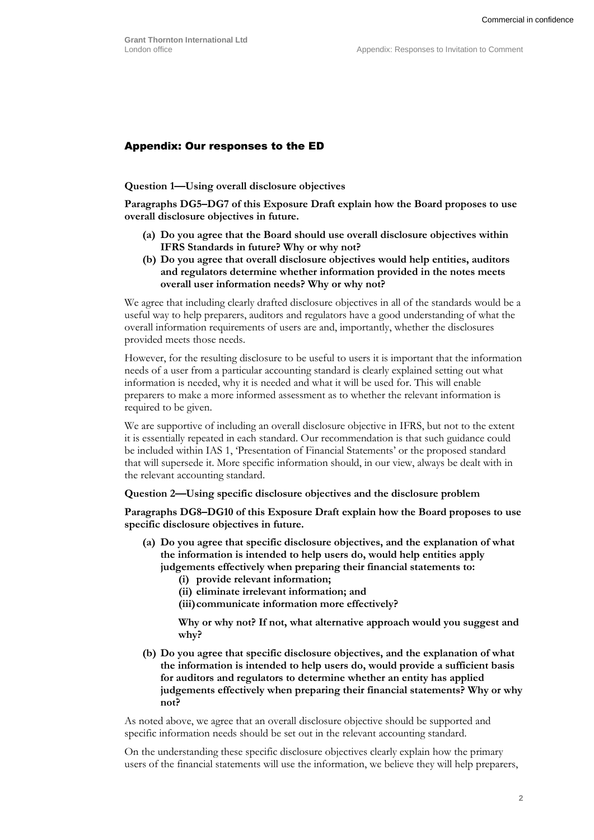## Appendix: Our responses to the ED

#### **Question 1—Using overall disclosure objectives**

**Paragraphs DG5–DG7 of this Exposure Draft explain how the Board proposes to use overall disclosure objectives in future.**

- **(a) Do you agree that the Board should use overall disclosure objectives within IFRS Standards in future? Why or why not?**
- **(b) Do you agree that overall disclosure objectives would help entities, auditors and regulators determine whether information provided in the notes meets overall user information needs? Why or why not?**

We agree that including clearly drafted disclosure objectives in all of the standards would be a useful way to help preparers, auditors and regulators have a good understanding of what the overall information requirements of users are and, importantly, whether the disclosures provided meets those needs.

However, for the resulting disclosure to be useful to users it is important that the information needs of a user from a particular accounting standard is clearly explained setting out what information is needed, why it is needed and what it will be used for. This will enable preparers to make a more informed assessment as to whether the relevant information is required to be given.

We are supportive of including an overall disclosure objective in IFRS, but not to the extent it is essentially repeated in each standard. Our recommendation is that such guidance could be included within IAS 1, 'Presentation of Financial Statements' or the proposed standard that will supersede it. More specific information should, in our view, always be dealt with in the relevant accounting standard.

**Question 2—Using specific disclosure objectives and the disclosure problem**

**Paragraphs DG8–DG10 of this Exposure Draft explain how the Board proposes to use specific disclosure objectives in future.**

- **(a) Do you agree that specific disclosure objectives, and the explanation of what the information is intended to help users do, would help entities apply judgements effectively when preparing their financial statements to:**
	- **(i) provide relevant information;**
	- **(ii) eliminate irrelevant information; and**
	- **(iii)communicate information more effectively?**

**Why or why not? If not, what alternative approach would you suggest and why?**

**(b) Do you agree that specific disclosure objectives, and the explanation of what the information is intended to help users do, would provide a sufficient basis for auditors and regulators to determine whether an entity has applied judgements effectively when preparing their financial statements? Why or why not?**

As noted above, we agree that an overall disclosure objective should be supported and specific information needs should be set out in the relevant accounting standard.

On the understanding these specific disclosure objectives clearly explain how the primary users of the financial statements will use the information, we believe they will help preparers,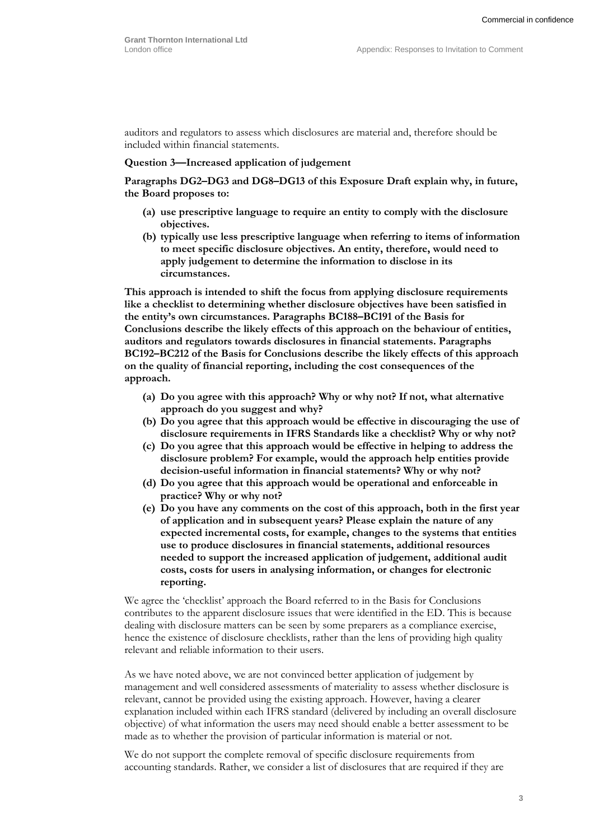auditors and regulators to assess which disclosures are material and, therefore should be included within financial statements.

### **Question 3—Increased application of judgement**

**Paragraphs DG2–DG3 and DG8–DG13 of this Exposure Draft explain why, in future, the Board proposes to:**

- **(a) use prescriptive language to require an entity to comply with the disclosure objectives.**
- **(b) typically use less prescriptive language when referring to items of information to meet specific disclosure objectives. An entity, therefore, would need to apply judgement to determine the information to disclose in its circumstances.**

**This approach is intended to shift the focus from applying disclosure requirements like a checklist to determining whether disclosure objectives have been satisfied in the entity's own circumstances. Paragraphs BC188–BC191 of the Basis for Conclusions describe the likely effects of this approach on the behaviour of entities, auditors and regulators towards disclosures in financial statements. Paragraphs BC192–BC212 of the Basis for Conclusions describe the likely effects of this approach on the quality of financial reporting, including the cost consequences of the approach.**

- **(a) Do you agree with this approach? Why or why not? If not, what alternative approach do you suggest and why?**
- **(b) Do you agree that this approach would be effective in discouraging the use of disclosure requirements in IFRS Standards like a checklist? Why or why not?**
- **(c) Do you agree that this approach would be effective in helping to address the disclosure problem? For example, would the approach help entities provide decision-useful information in financial statements? Why or why not?**
- **(d) Do you agree that this approach would be operational and enforceable in practice? Why or why not?**
- **(e) Do you have any comments on the cost of this approach, both in the first year of application and in subsequent years? Please explain the nature of any expected incremental costs, for example, changes to the systems that entities use to produce disclosures in financial statements, additional resources needed to support the increased application of judgement, additional audit costs, costs for users in analysing information, or changes for electronic reporting.**

We agree the 'checklist' approach the Board referred to in the Basis for Conclusions contributes to the apparent disclosure issues that were identified in the ED. This is because dealing with disclosure matters can be seen by some preparers as a compliance exercise, hence the existence of disclosure checklists, rather than the lens of providing high quality relevant and reliable information to their users.

As we have noted above, we are not convinced better application of judgement by management and well considered assessments of materiality to assess whether disclosure is relevant, cannot be provided using the existing approach. However, having a clearer explanation included within each IFRS standard (delivered by including an overall disclosure objective) of what information the users may need should enable a better assessment to be made as to whether the provision of particular information is material or not.

We do not support the complete removal of specific disclosure requirements from accounting standards. Rather, we consider a list of disclosures that are required if they are